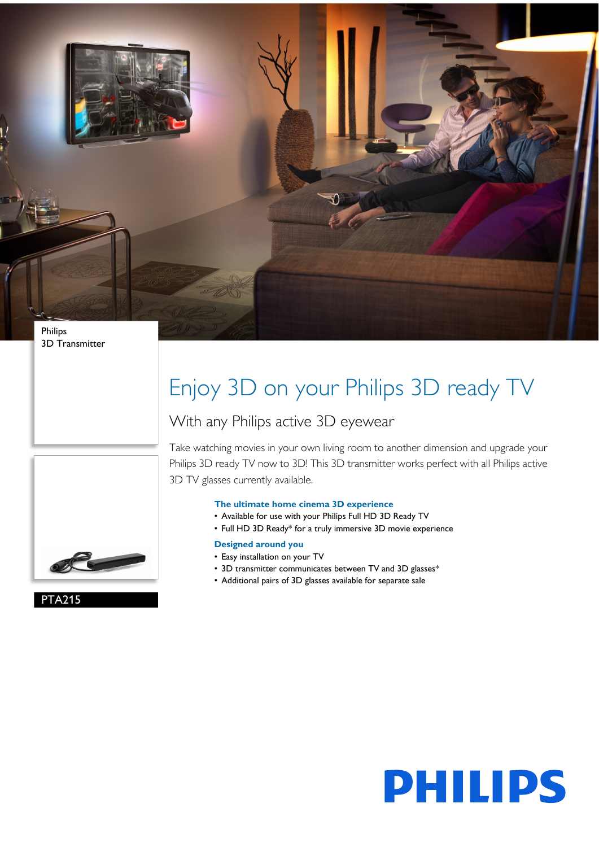

3D Transmitter

# Enjoy 3D on your Philips 3D ready TV

### With any Philips active 3D eyewear



Take watching movies in your own living room to another dimension and upgrade your Philips 3D ready TV now to 3D! This 3D transmitter works perfect with all Philips active 3D TV glasses currently available.

#### **The ultimate home cinema 3D experience**

- Available for use with your Philips Full HD 3D Ready TV
- Full HD 3D Ready\* for a truly immersive 3D movie experience

### **Designed around you**

- Easy installation on your TV
- 3D transmitter communicates between TV and 3D glasses\*
- Additional pairs of 3D glasses available for separate sale